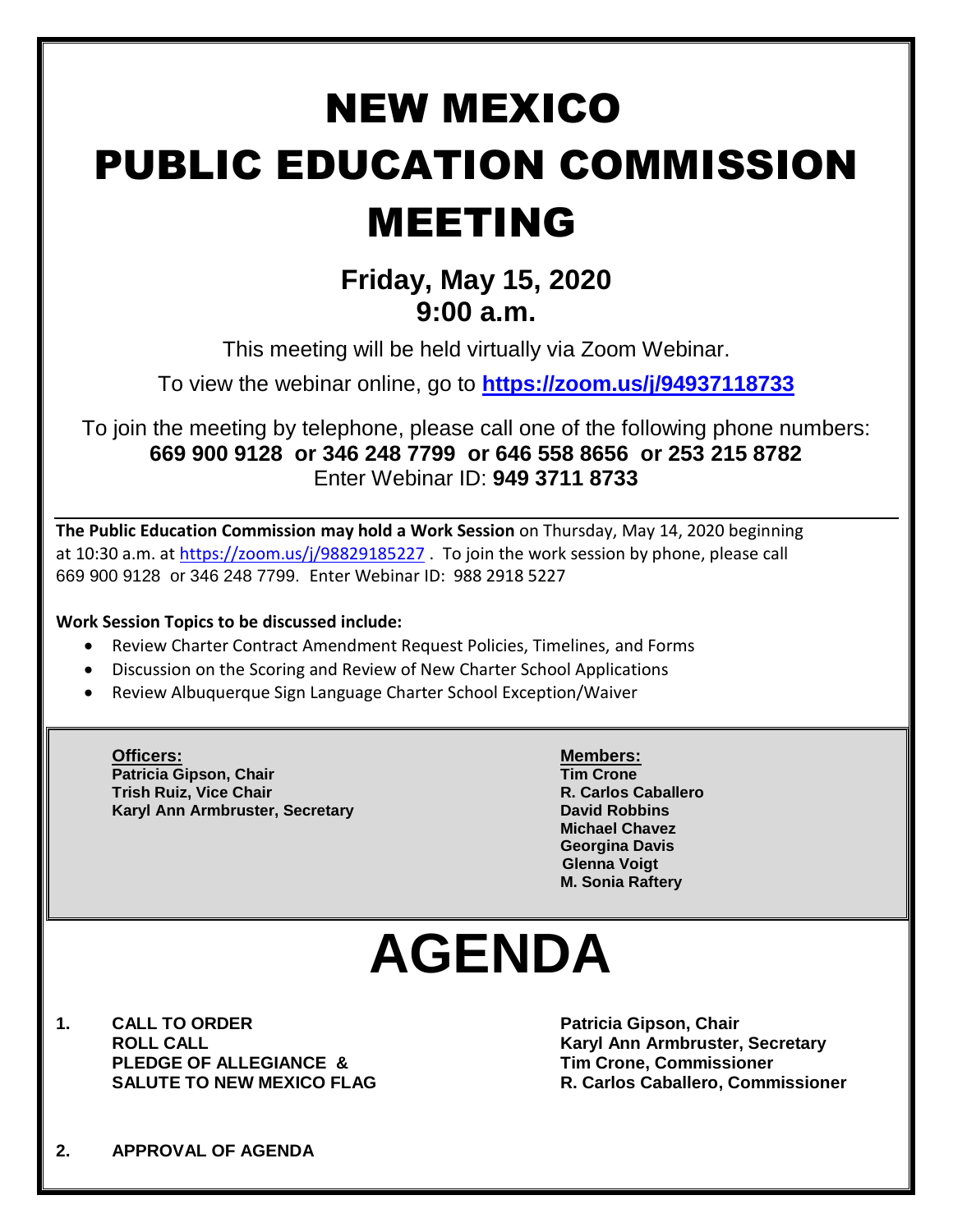## NEW MEXICO PUBLIC EDUCATION COMMISSION MEETING

### **Friday, May 15, 2020 9:00 a.m.**

This meeting will be held virtually via Zoom Webinar.

To view the webinar online, go to **<https://zoom.us/j/94937118733>**

To join the meeting by telephone, please call one of the following phone numbers: **669 900 9128 or 346 248 7799 or 646 558 8656 or 253 215 8782**  Enter Webinar ID: **949 3711 8733**

**The Public Education Commission may hold a Work Session** on Thursday, May 14, 2020 beginning at 10:30 a.m. at <https://zoom.us/j/98829185227> . To join the work session by phone, please call 669 900 9128 or 346 248 7799. Enter Webinar ID: 988 2918 5227

#### **Work Session Topics to be discussed include:**

- Review Charter Contract Amendment Request Policies, Timelines, and Forms
- Discussion on the Scoring and Review of New Charter School Applications
- Review Albuquerque Sign Language Charter School Exception/Waiver

**Officers: Members: Patricia Gipson, Chair Tim Crone Trish Ruiz, Vice Chair R. Carlos Caballero Karyl Ann Armbruster, Secretary <b>David Robbins David Robbins** 

**Michael Chavez Georgina Davis Glenna Voigt M. Sonia Raftery**

# **AGENDA**

**1. CALL TO ORDER Patricia Gipson, Chair PLEDGE OF ALLEGIANCE & Tim Crone, Commissioner**

**ROLL CALL Karyl Ann Armbruster, Secretary SALUTE TO NEW MEXICO FLAG R. Carlos Caballero, Commissioner**

**2. APPROVAL OF AGENDA**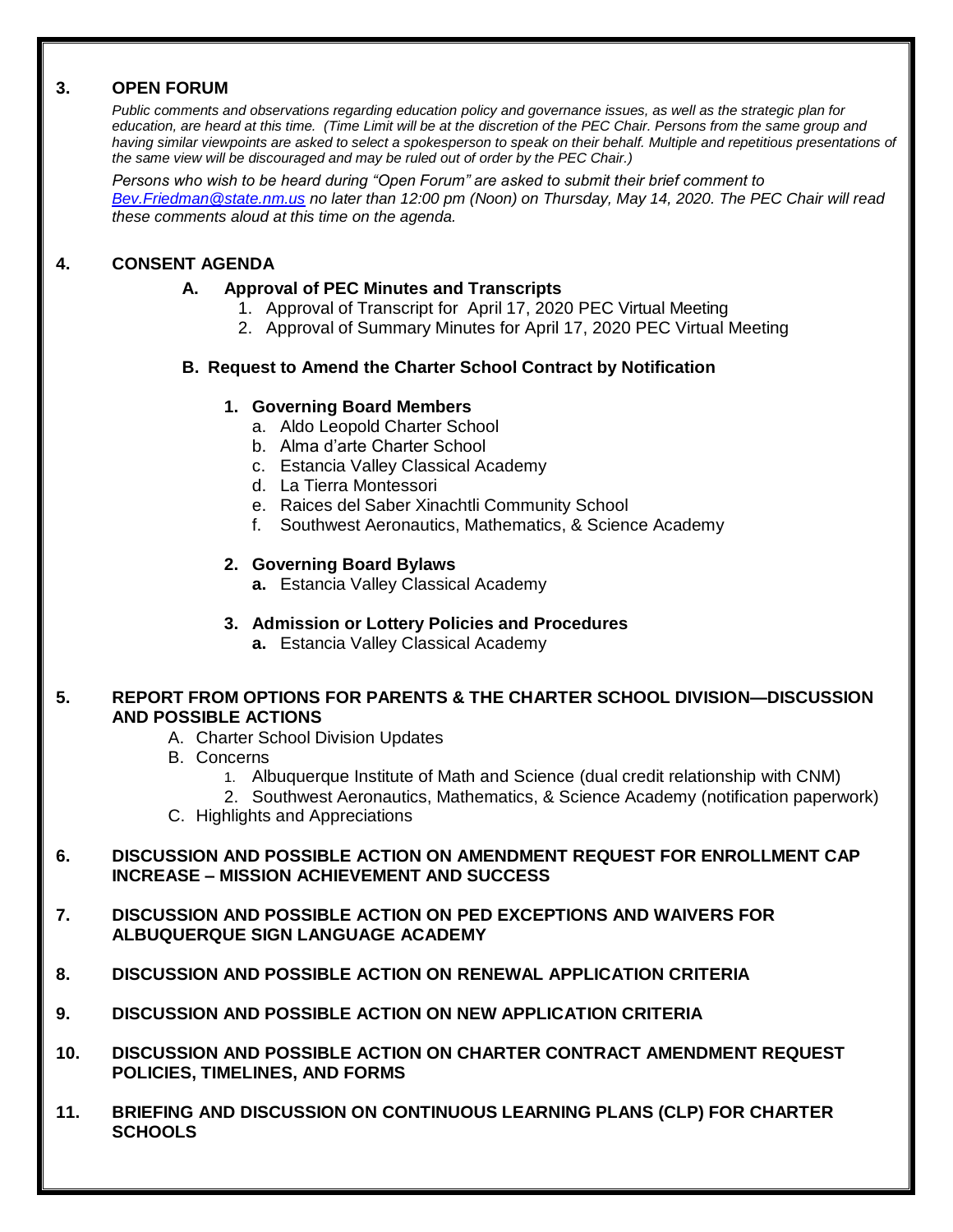#### **3. OPEN FORUM**

*Public comments and observations regarding education policy and governance issues, as well as the strategic plan for education, are heard at this time. (Time Limit will be at the discretion of the PEC Chair. Persons from the same group and having similar viewpoints are asked to select a spokesperson to speak on their behalf. Multiple and repetitious presentations of the same view will be discouraged and may be ruled out of order by the PEC Chair.)*

*Persons who wish to be heard during "Open Forum" are asked to submit their brief comment to [Bev.Friedman@state.nm.us](mailto:Bev.Friedman@state.nm.us) no later than 12:00 pm (Noon) on Thursday, May 14, 2020. The PEC Chair will read these comments aloud at this time on the agenda.*

#### **4. CONSENT AGENDA**

#### **A. Approval of PEC Minutes and Transcripts**

- 1. Approval of Transcript for April 17, 2020 PEC Virtual Meeting
- 2. Approval of Summary Minutes for April 17, 2020 PEC Virtual Meeting

#### **B. Request to Amend the Charter School Contract by Notification**

#### **1. Governing Board Members**

- a. Aldo Leopold Charter School
- b. Alma d'arte Charter School
- c. Estancia Valley Classical Academy
- d. La Tierra Montessori
- e. Raices del Saber Xinachtli Community School
- f. Southwest Aeronautics, Mathematics, & Science Academy

#### **2. Governing Board Bylaws**

**a.** Estancia Valley Classical Academy

#### **3. Admission or Lottery Policies and Procedures**

**a.** Estancia Valley Classical Academy

#### **5. REPORT FROM OPTIONS FOR PARENTS & THE CHARTER SCHOOL DIVISION—DISCUSSION AND POSSIBLE ACTIONS**

- A. Charter School Division Updates
- B. Concerns
	- 1. Albuquerque Institute of Math and Science (dual credit relationship with CNM)

2. Southwest Aeronautics, Mathematics, & Science Academy (notification paperwork)

C. Highlights and Appreciations

#### **6. DISCUSSION AND POSSIBLE ACTION ON AMENDMENT REQUEST FOR ENROLLMENT CAP INCREASE – MISSION ACHIEVEMENT AND SUCCESS**

- **7. DISCUSSION AND POSSIBLE ACTION ON PED EXCEPTIONS AND WAIVERS FOR ALBUQUERQUE SIGN LANGUAGE ACADEMY**
- **8. DISCUSSION AND POSSIBLE ACTION ON RENEWAL APPLICATION CRITERIA**
- **9. DISCUSSION AND POSSIBLE ACTION ON NEW APPLICATION CRITERIA**
- **10. DISCUSSION AND POSSIBLE ACTION ON CHARTER CONTRACT AMENDMENT REQUEST POLICIES, TIMELINES, AND FORMS**
- **11. BRIEFING AND DISCUSSION ON CONTINUOUS LEARNING PLANS (CLP) FOR CHARTER SCHOOLS**